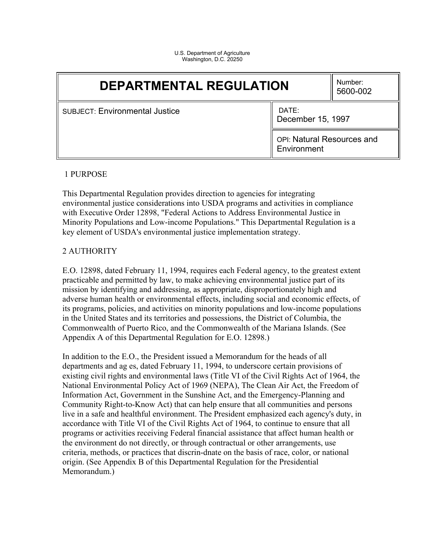U.S. Department of Agriculture Washington, D.C. 20250

| <b>DEPARTMENTAL REGULATION</b>                                      |                                           | Number:<br>5600-002 |
|---------------------------------------------------------------------|-------------------------------------------|---------------------|
| DATE:<br><b>SUBJECT: Environmental Justice</b><br>December 15, 1997 |                                           |                     |
|                                                                     | OPI: Natural Resources and<br>Environment |                     |

#### 1 PURPOSE

This Departmental Regulation provides direction to agencies for integrating environmental justice considerations into USDA programs and activities in compliance with Executive Order 12898, "Federal Actions to Address Environmental Justice in Minority Populations and Low-income Populations." This Departmental Regulation is a key element of USDA's environmental justice implementation strategy.

#### 2 AUTHORITY

E.O. 12898, dated February 11, 1994, requires each Federal agency, to the greatest extent practicable and permitted by law, to make achieving environmental justice part of its mission by identifying and addressing, as appropriate, disproportionately high and adverse human health or environmental effects, including social and economic effects, of its programs, policies, and activities on minority populations and low-income populations in the United States and its territories and possessions, the District of Columbia, the Commonwealth of Puerto Rico, and the Commonwealth of the Mariana Islands. (See Appendix A of this Departmental Regulation for E.O. 12898.)

In addition to the E.O., the President issued a Memorandum for the heads of all departments and ag es, dated February 11, 1994, to underscore certain provisions of existing civil rights and environmental laws (Title VI of the Civil Rights Act of 1964, the National Environmental Policy Act of 1969 (NEPA), The Clean Air Act, the Freedom of Information Act, Government in the Sunshine Act, and the Emergency-Planning and Community Right-to-Know Act) that can help ensure that all communities and persons live in a safe and healthful environment. The President emphasized each agency's duty, in accordance with Title VI of the Civil Rights Act of 1964, to continue to ensure that all programs or activities receiving Federal financial assistance that affect human health or the environment do not directly, or through contractual or other arrangements, use criteria, methods, or practices that discrin-dnate on the basis of race, color, or national origin. (See Appendix B of this Departmental Regulation for the Presidential Memorandum.)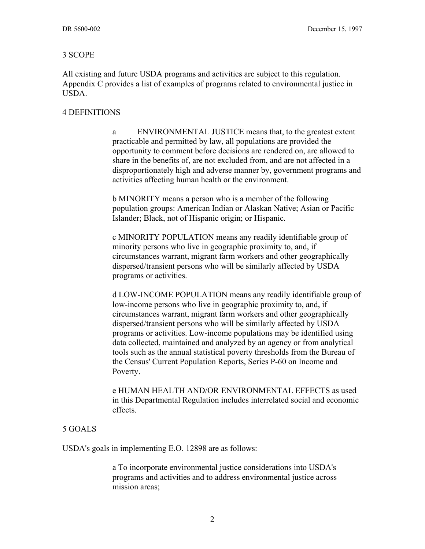#### 3 SCOPE

All existing and future USDA programs and activities are subject to this regulation. Appendix C provides a list of examples of programs related to environmental justice in USDA.

#### 4 DEFINITIONS

a ENVIRONMENTAL JUSTICE means that, to the greatest extent practicable and permitted by law, all populations are provided the opportunity to comment before decisions are rendered on, are allowed to share in the benefits of, are not excluded from, and are not affected in a disproportionately high and adverse manner by, government programs and activities affecting human health or the environment.

b MINORITY means a person who is a member of the following population groups: American Indian or Alaskan Native; Asian or Pacific Islander; Black, not of Hispanic origin; or Hispanic.

c MINORITY POPULATION means any readily identifiable group of minority persons who live in geographic proximity to, and, if circumstances warrant, migrant farm workers and other geographically dispersed/transient persons who will be similarly affected by USDA programs or activities.

d LOW-INCOME POPULATION means any readily identifiable group of low-income persons who live in geographic proximity to, and, if circumstances warrant, migrant farm workers and other geographically dispersed/transient persons who will be similarly affected by USDA programs or activities. Low-income populations may be identified using data collected, maintained and analyzed by an agency or from analytical tools such as the annual statistical poverty thresholds from the Bureau of the Census' Current Population Reports, Series P-60 on Income and Poverty.

e HUMAN HEALTH AND/OR ENVIRONMENTAL EFFECTS as used in this Departmental Regulation includes interrelated social and economic effects.

#### 5 GOALS

USDA's goals in implementing E.O. 12898 are as follows:

a To incorporate environmental justice considerations into USDA's programs and activities and to address environmental justice across mission areas;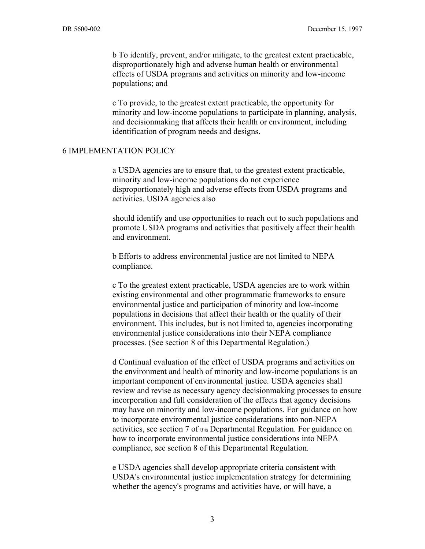b To identify, prevent, and/or mitigate, to the greatest extent practicable, disproportionately high and adverse human health or environmental effects of USDA programs and activities on minority and low-income populations; and

c To provide, to the greatest extent practicable, the opportunity for minority and low-income populations to participate in planning, analysis, and decisionmaking that affects their health or environment, including identification of program needs and designs.

#### 6 IMPLEMENTATION POLICY

a USDA agencies are to ensure that, to the greatest extent practicable, minority and low-income populations do not experience disproportionately high and adverse effects from USDA programs and activities. USDA agencies also

should identify and use opportunities to reach out to such populations and promote USDA programs and activities that positively affect their health and environment.

b Efforts to address environmental justice are not limited to NEPA compliance.

c To the greatest extent practicable, USDA agencies are to work within existing environmental and other programmatic frameworks to ensure environmental justice and participation of minority and low-income populations in decisions that affect their health or the quality of their environment. This includes, but is not limited to, agencies incorporating environmental justice considerations into their NEPA compliance processes. (See section 8 of this Departmental Regulation.)

d Continual evaluation of the effect of USDA programs and activities on the environment and health of minority and low-income populations is an important component of environmental justice. USDA agencies shall review and revise as necessary agency decisionmaking processes to ensure incorporation and full consideration of the effects that agency decisions may have on minority and low-income populations. For guidance on how to incorporate environmental justice considerations into non-NEPA activities, see section 7 of this Departmental Regulation. For guidance on how to incorporate environmental justice considerations into NEPA compliance, see section 8 of this Departmental Regulation.

e USDA agencies shall develop appropriate criteria consistent with USDA's environmental justice implementation strategy for determining whether the agency's programs and activities have, or will have, a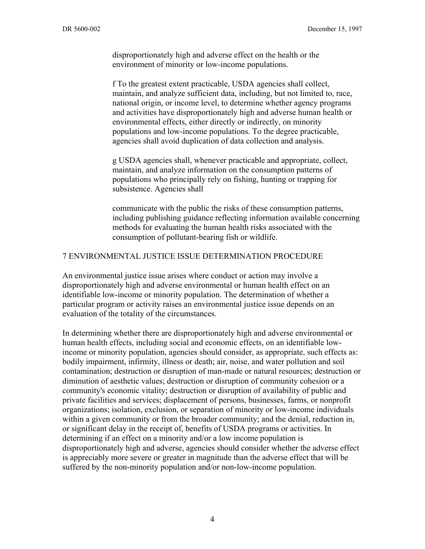disproportionately high and adverse effect on the health or the environment of minority or low-income populations.

f To the greatest extent practicable, USDA agencies shall collect, maintain, and analyze sufficient data, including, but not limited to, race, national origin, or income level, to determine whether agency programs and activities have disproportionately high and adverse human health or environmental effects, either directly or indirectly, on minority populations and low-income populations. To the degree practicable, agencies shall avoid duplication of data collection and analysis.

g USDA agencies shall, whenever practicable and appropriate, collect, maintain, and analyze information on the consumption patterns of populations who principally rely on fishing, hunting or trapping for subsistence. Agencies shall

communicate with the public the risks of these consumption patterns, including publishing guidance reflecting information available concerning methods for evaluating the human health risks associated with the consumption of pollutant-bearing fish or wildlife.

#### 7 ENVIRONMENTAL JUSTICE ISSUE DETERMINATION PROCEDURE

An environmental justice issue arises where conduct or action may involve a disproportionately high and adverse environmental or human health effect on an identifiable low-income or minority population. The determination of whether a particular program or activity raises an environmental justice issue depends on an evaluation of the totality of the circumstances.

In determining whether there are disproportionately high and adverse environmental or human health effects, including social and economic effects, on an identifiable lowincome or minority population, agencies should consider, as appropriate, such effects as: bodily impairment, infirmity, illness or death; air, noise, and water pollution and soil contamination; destruction or disruption of man-made or natural resources; destruction or diminution of aesthetic values; destruction or disruption of community cohesion or a community's economic vitality; destruction or disruption of availability of public and private facilities and services; displacement of persons, businesses, farms, or nonprofit organizations; isolation, exclusion, or separation of minority or low-income individuals within a given community or from the broader community; and the denial, reduction in, or significant delay in the receipt of, benefits of USDA programs or activities. In determining if an effect on a minority and/or a low income population is disproportionately high and adverse, agencies should consider whether the adverse effect is appreciably more severe or greater in magnitude than the adverse effect that will be suffered by the non-minority population and/or non-low-income population.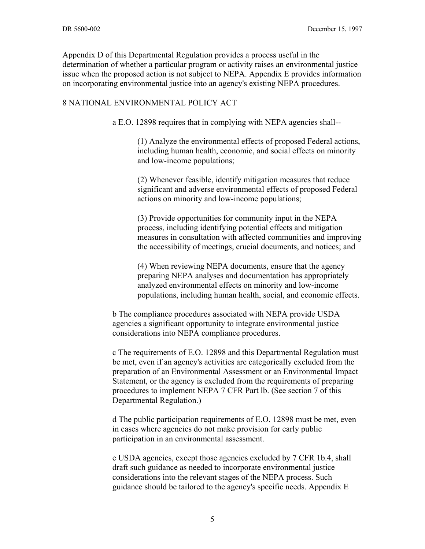Appendix D of this Departmental Regulation provides a process useful in the determination of whether a particular program or activity raises an environmental justice issue when the proposed action is not subject to NEPA. Appendix E provides information on incorporating environmental justice into an agency's existing NEPA procedures.

#### 8 NATIONAL ENVIRONMENTAL POLICY ACT

a E.O. 12898 requires that in complying with NEPA agencies shall--

(1) Analyze the environmental effects of proposed Federal actions, including human health, economic, and social effects on minority and low-income populations;

(2) Whenever feasible, identify mitigation measures that reduce significant and adverse environmental effects of proposed Federal actions on minority and low-income populations;

(3) Provide opportunities for community input in the NEPA process, including identifying potential effects and mitigation measures in consultation with affected communities and improving the accessibility of meetings, crucial documents, and notices; and

(4) When reviewing NEPA documents, ensure that the agency preparing NEPA analyses and documentation has appropriately analyzed environmental effects on minority and low-income populations, including human health, social, and economic effects.

b The compliance procedures associated with NEPA provide USDA agencies a significant opportunity to integrate environmental justice considerations into NEPA compliance procedures.

c The requirements of E.O. 12898 and this Departmental Regulation must be met, even if an agency's activities are categorically excluded from the preparation of an Environmental Assessment or an Environmental Impact Statement, or the agency is excluded from the requirements of preparing procedures to implement NEPA 7 CFR Part lb. (See section 7 of this Departmental Regulation.)

d The public participation requirements of E.O. 12898 must be met, even in cases where agencies do not make provision for early public participation in an environmental assessment.

e USDA agencies, except those agencies excluded by 7 CFR 1b.4, shall draft such guidance as needed to incorporate environmental justice considerations into the relevant stages of the NEPA process. Such guidance should be tailored to the agency's specific needs. Appendix E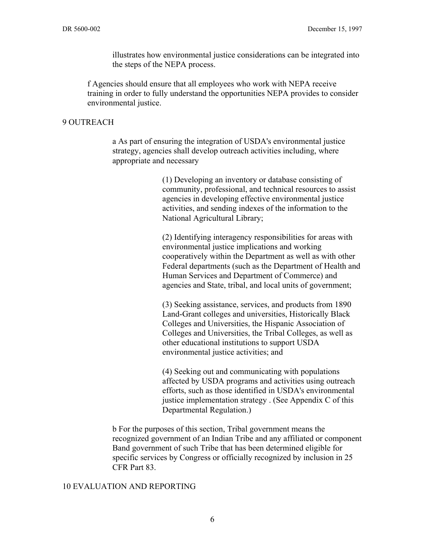illustrates how environmental justice considerations can be integrated into the steps of the NEPA process.

f Agencies should ensure that all employees who work with NEPA receive training in order to fully understand the opportunities NEPA provides to consider environmental justice.

#### 9 OUTREACH

a As part of ensuring the integration of USDA's environmental justice strategy, agencies shall develop outreach activities including, where appropriate and necessary

> (1) Developing an inventory or database consisting of community, professional, and technical resources to assist agencies in developing effective environmental justice activities, and sending indexes of the information to the National Agricultural Library;

(2) Identifying interagency responsibilities for areas with environmental justice implications and working cooperatively within the Department as well as with other Federal departments (such as the Department of Health and Human Services and Department of Commerce) and agencies and State, tribal, and local units of government;

(3) Seeking assistance, services, and products from 1890 Land-Grant colleges and universities, Historically Black Colleges and Universities, the Hispanic Association of Colleges and Universities, the Tribal Colleges, as well as other educational institutions to support USDA environmental justice activities; and

(4) Seeking out and communicating with populations affected by USDA programs and activities using outreach efforts, such as those identified in USDA's environmental justice implementation strategy . (See Appendix C of this Departmental Regulation.)

b For the purposes of this section, Tribal government means the recognized government of an Indian Tribe and any affiliated or component Band government of such Tribe that has been determined eligible for specific services by Congress or officially recognized by inclusion in 25 CFR Part 83.

#### 10 EVALUATION AND REPORTING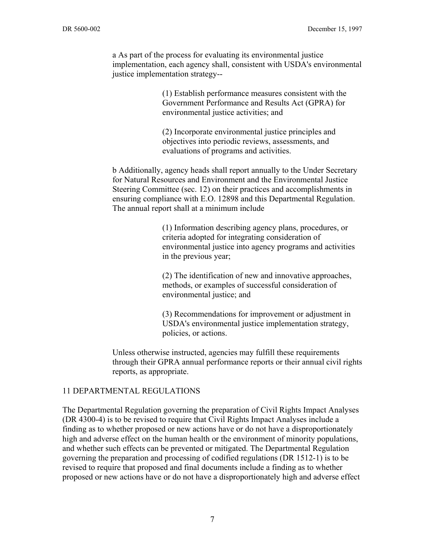a As part of the process for evaluating its environmental justice implementation, each agency shall, consistent with USDA's environmental justice implementation strategy--

> (1) Establish performance measures consistent with the Government Performance and Results Act (GPRA) for environmental justice activities; and

(2) Incorporate environmental justice principles and objectives into periodic reviews, assessments, and evaluations of programs and activities.

b Additionally, agency heads shall report annually to the Under Secretary for Natural Resources and Environment and the Environmental Justice Steering Committee (sec. 12) on their practices and accomplishments in ensuring compliance with E.O. 12898 and this Departmental Regulation. The annual report shall at a minimum include

> (1) Information describing agency plans, procedures, or criteria adopted for integrating consideration of environmental justice into agency programs and activities in the previous year;

(2) The identification of new and innovative approaches, methods, or examples of successful consideration of environmental justice; and

(3) Recommendations for improvement or adjustment in USDA's environmental justice implementation strategy, policies, or actions.

Unless otherwise instructed, agencies may fulfill these requirements through their GPRA annual performance reports or their annual civil rights reports, as appropriate.

#### 11 DEPARTMENTAL REGULATIONS

The Departmental Regulation governing the preparation of Civil Rights Impact Analyses (DR 4300-4) is to be revised to require that Civil Rights Impact Analyses include a finding as to whether proposed or new actions have or do not have a disproportionately high and adverse effect on the human health or the environment of minority populations, and whether such effects can be prevented or mitigated. The Departmental Regulation governing the preparation and processing of codified regulations (DR 1512-1) is to be revised to require that proposed and final documents include a finding as to whether proposed or new actions have or do not have a disproportionately high and adverse effect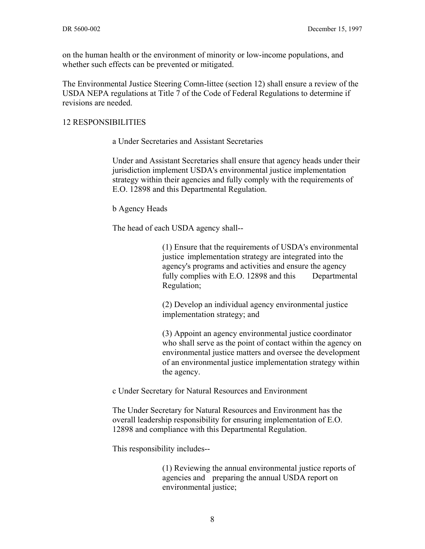on the human health or the environment of minority or low-income populations, and whether such effects can be prevented or mitigated.

The Environmental Justice Steering Comn-littee (section 12) shall ensure a review of the USDA NEPA regulations at Title 7 of the Code of Federal Regulations to determine if revisions are needed.

#### 12 RESPONSIBILITIES

a Under Secretaries and Assistant Secretaries

Under and Assistant Secretaries shall ensure that agency heads under their jurisdiction implement USDA's environmental justice implementation strategy within their agencies and fully comply with the requirements of E.O. 12898 and this Departmental Regulation.

b Agency Heads

The head of each USDA agency shall--

(1) Ensure that the requirements of USDA's environmental justice implementation strategy are integrated into the agency's programs and activities and ensure the agency fully complies with E.O. 12898 and this Departmental Regulation;

(2) Develop an individual agency environmental justice implementation strategy; and

(3) Appoint an agency environmental justice coordinator who shall serve as the point of contact within the agency on environmental justice matters and oversee the development of an environmental justice implementation strategy within the agency.

c Under Secretary for Natural Resources and Environment

The Under Secretary for Natural Resources and Environment has the overall leadership responsibility for ensuring implementation of E.O. 12898 and compliance with this Departmental Regulation.

This responsibility includes--

(1) Reviewing the annual environmental justice reports of agencies and preparing the annual USDA report on environmental justice;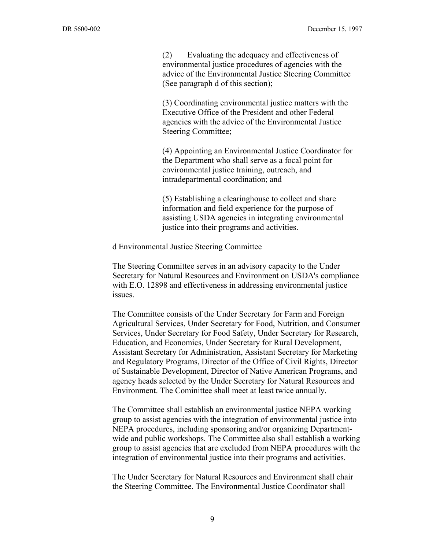(2) Evaluating the adequacy and effectiveness of environmental justice procedures of agencies with the advice of the Environmental Justice Steering Committee (See paragraph d of this section);

(3) Coordinating environmental justice matters with the Executive Office of the President and other Federal agencies with the advice of the Environmental Justice Steering Committee;

(4) Appointing an Environmental Justice Coordinator for the Department who shall serve as a focal point for environmental justice training, outreach, and intradepartmental coordination; and

(5) Establishing a clearinghouse to collect and share information and field experience for the purpose of assisting USDA agencies in integrating environmental justice into their programs and activities.

d Environmental Justice Steering Committee

The Steering Committee serves in an advisory capacity to the Under Secretary for Natural Resources and Environment on USDA's compliance with E.O. 12898 and effectiveness in addressing environmental justice issues.

The Committee consists of the Under Secretary for Farm and Foreign Agricultural Services, Under Secretary for Food, Nutrition, and Consumer Services, Under Secretary for Food Safety, Under Secretary for Research, Education, and Economics, Under Secretary for Rural Development, Assistant Secretary for Administration, Assistant Secretary for Marketing and Regulatory Programs, Director of the Office of Civil Rights, Director of Sustainable Development, Director of Native American Programs, and agency heads selected by the Under Secretary for Natural Resources and Environment. The Cominittee shall meet at least twice annually.

The Committee shall establish an environmental justice NEPA working group to assist agencies with the integration of environmental justice into NEPA procedures, including sponsoring and/or organizing Departmentwide and public workshops. The Committee also shall establish a working group to assist agencies that are excluded from NEPA procedures with the integration of environmental justice into their programs and activities.

The Under Secretary for Natural Resources and Environment shall chair the Steering Committee. The Environmental Justice Coordinator shall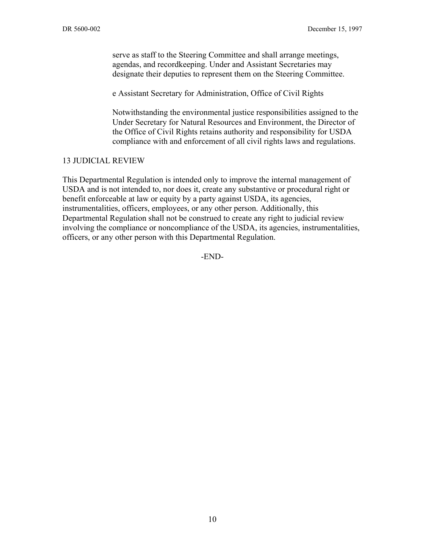serve as staff to the Steering Committee and shall arrange meetings, agendas, and recordkeeping. Under and Assistant Secretaries may designate their deputies to represent them on the Steering Committee.

e Assistant Secretary for Administration, Office of Civil Rights

Notwithstanding the environmental justice responsibilities assigned to the Under Secretary for Natural Resources and Environment, the Director of the Office of Civil Rights retains authority and responsibility for USDA compliance with and enforcement of all civil rights laws and regulations.

#### 13 JUDICIAL REVIEW

This Departmental Regulation is intended only to improve the internal management of USDA and is not intended to, nor does it, create any substantive or procedural right or benefit enforceable at law or equity by a party against USDA, its agencies, instrumentalities, officers, employees, or any other person. Additionally, this Departmental Regulation shall not be construed to create any right to judicial review involving the compliance or noncompliance of the USDA, its agencies, instrumentalities, officers, or any other person with this Departmental Regulation.

-END-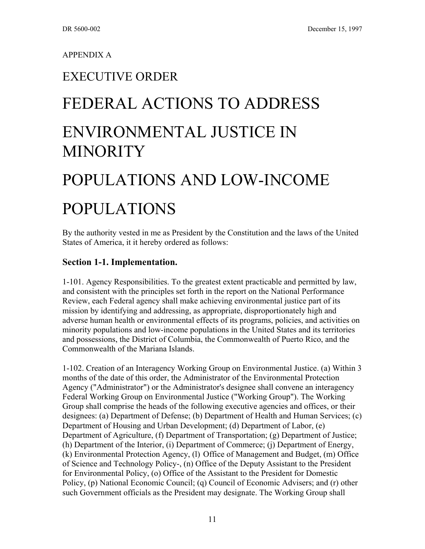#### APPENDIX A

### EXECUTIVE ORDER

## FEDERAL ACTIONS TO ADDRESS

### ENVIRONMENTAL JUSTICE IN **MINORITY**

# POPULATIONS AND LOW-INCOME

## POPULATIONS

By the authority vested in me as President by the Constitution and the laws of the United States of America, it it hereby ordered as follows:

#### **Section 1-1. Implementation.**

1-101. Agency Responsibilities. To the greatest extent practicable and permitted by law, and consistent with the principles set forth in the report on the National Performance Review, each Federal agency shall make achieving environmental justice part of its mission by identifying and addressing, as appropriate, disproportionately high and adverse human health or environmental effects of its programs, policies, and activities on minority populations and low-income populations in the United States and its territories and possessions, the District of Columbia, the Commonwealth of Puerto Rico, and the Commonwealth of the Mariana Islands.

1-102. Creation of an Interagency Working Group on Environmental Justice. (a) Within 3 months of the date of this order, the Administrator of the Environmental Protection Agency ("Administrator") or the Administrator's designee shall convene an interagency Federal Working Group on Environmental Justice ("Working Group"). The Working Group shall comprise the heads of the following executive agencies and offices, or their designees: (a) Department of Defense; (b) Department of Health and Human Services; (c) Department of Housing and Urban Development; (d) Department of Labor, (e) Department of Agriculture, (f) Department of Transportation; (g) Department of Justice; (h) Department of the Interior, (i) Department of Commerce; (j) Department of Energy, (k) Environmental Protection Agency, (l) Office of Management and Budget, (m) Office of Science and Technology Policy-, (n) Office of the Deputy Assistant to the President for Environmental Policy, (o) Office of the Assistant to the President for Domestic Policy, (p) National Economic Council; (q) Council of Economic Advisers; and (r) other such Government officials as the President may designate. The Working Group shall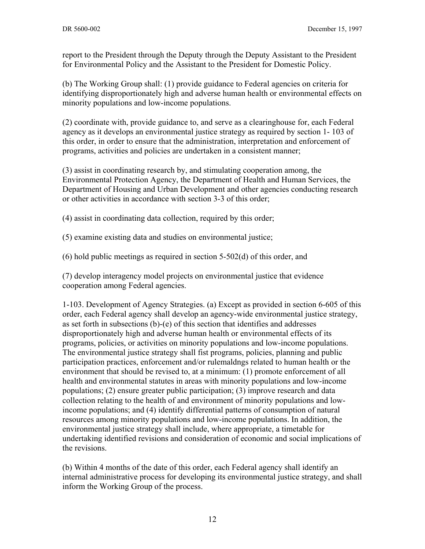report to the President through the Deputy through the Deputy Assistant to the President for Environmental Policy and the Assistant to the President for Domestic Policy.

(b) The Working Group shall: (1) provide guidance to Federal agencies on criteria for identifying disproportionately high and adverse human health or environmental effects on minority populations and low-income populations.

(2) coordinate with, provide guidance to, and serve as a clearinghouse for, each Federal agency as it develops an environmental justice strategy as required by section 1- 103 of this order, in order to ensure that the administration, interpretation and enforcement of programs, activities and policies are undertaken in a consistent manner;

(3) assist in coordinating research by, and stimulating cooperation among, the Environmental Protection Agency, the Department of Health and Human Services, the Department of Housing and Urban Development and other agencies conducting research or other activities in accordance with section 3-3 of this order;

(4) assist in coordinating data collection, required by this order;

(5) examine existing data and studies on environmental justice;

(6) hold public meetings as required in section 5-502(d) of this order, and

(7) develop interagency model projects on environmental justice that evidence cooperation among Federal agencies.

1-103. Development of Agency Strategies. (a) Except as provided in section 6-605 of this order, each Federal agency shall develop an agency-wide environmental justice strategy, as set forth in subsections (b)-(e) of this section that identifies and addresses disproportionately high and adverse human health or environmental effects of its programs, policies, or activities on minority populations and low-income populations. The environmental justice strategy shall fist programs, policies, planning and public participation practices, enforcement and/or rulemaldngs related to human health or the environment that should be revised to, at a minimum: (1) promote enforcement of all health and environmental statutes in areas with minority populations and low-income populations; (2) ensure greater public participation; (3) improve research and data collection relating to the health of and environment of minority populations and lowincome populations; and (4) identify differential patterns of consumption of natural resources among minority populations and low-income populations. In addition, the environmental justice strategy shall include, where appropriate, a timetable for undertaking identified revisions and consideration of economic and social implications of the revisions.

(b) Within 4 months of the date of this order, each Federal agency shall identify an internal administrative process for developing its environmental justice strategy, and shall inform the Working Group of the process.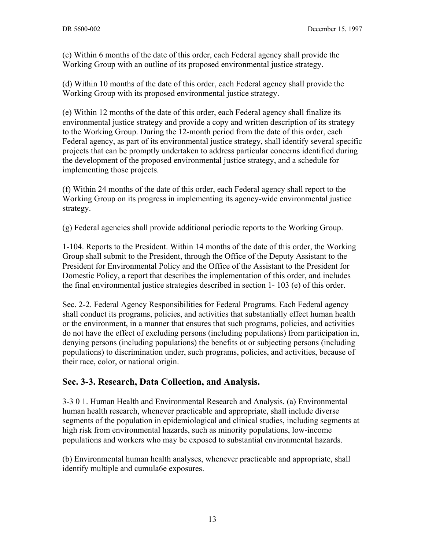(c) Within 6 months of the date of this order, each Federal agency shall provide the Working Group with an outline of its proposed environmental justice strategy.

(d) Within 10 months of the date of this order, each Federal agency shall provide the Working Group with its proposed environmental justice strategy.

(e) Within 12 months of the date of this order, each Federal agency shall finalize its environmental justice strategy and provide a copy and written description of its strategy to the Working Group. During the 12-month period from the date of this order, each Federal agency, as part of its environmental justice strategy, shall identify several specific projects that can be promptly undertaken to address particular concerns identified during the development of the proposed environmental justice strategy, and a schedule for implementing those projects.

(f) Within 24 months of the date of this order, each Federal agency shall report to the Working Group on its progress in implementing its agency-wide environmental justice strategy.

(g) Federal agencies shall provide additional periodic reports to the Working Group.

1-104. Reports to the President. Within 14 months of the date of this order, the Working Group shall submit to the President, through the Office of the Deputy Assistant to the President for Environmental Policy and the Office of the Assistant to the President for Domestic Policy, a report that describes the implementation of this order, and includes the final environmental justice strategies described in section 1- 103 (e) of this order.

Sec. 2-2. Federal Agency Responsibilities for Federal Programs. Each Federal agency shall conduct its programs, policies, and activities that substantially effect human health or the environment, in a manner that ensures that such programs, policies, and activities do not have the effect of excluding persons (including populations) from participation in, denying persons (including populations) the benefits ot or subjecting persons (including populations) to discrimination under, such programs, policies, and activities, because of their race, color, or national origin.

#### **Sec. 3-3. Research, Data Collection, and Analysis.**

3-3 0 1. Human Health and Environmental Research and Analysis. (a) Environmental human health research, whenever practicable and appropriate, shall include diverse segments of the population in epidemiological and clinical studies, including segments at high risk from environmental hazards, such as minority populations, low-income populations and workers who may be exposed to substantial environmental hazards.

(b) Environmental human health analyses, whenever practicable and appropriate, shall identify multiple and cumula6e exposures.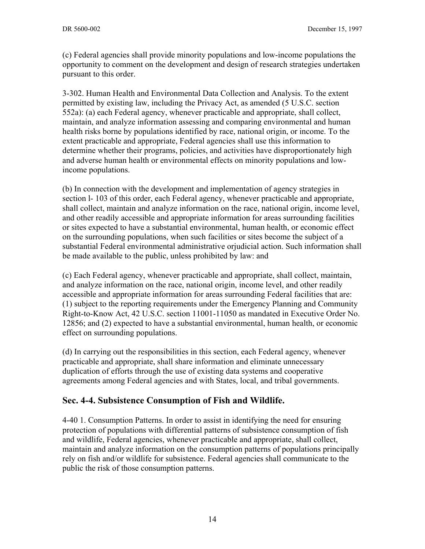(c) Federal agencies shall provide minority populations and low-income populations the opportunity to comment on the development and design of research strategies undertaken pursuant to this order.

3-302. Human Health and Environmental Data Collection and Analysis. To the extent permitted by existing law, including the Privacy Act, as amended (5 U.S.C. section 552a): (a) each Federal agency, whenever practicable and appropriate, shall collect, maintain, and analyze information assessing and comparing environmental and human health risks borne by populations identified by race, national origin, or income. To the extent practicable and appropriate, Federal agencies shall use this information to determine whether their programs, policies, and activities have disproportionately high and adverse human health or environmental effects on minority populations and lowincome populations.

(b) In connection with the development and implementation of agency strategies in section l- 103 of this order, each Federal agency, whenever practicable and appropriate, shall collect, maintain and analyze information on the race, national origin, income level, and other readily accessible and appropriate information for areas surrounding facilities or sites expected to have a substantial environmental, human health, or economic effect on the surrounding populations, when such facilities or sites become the subject of a substantial Federal environmental administrative orjudicial action. Such information shall be made available to the public, unless prohibited by law: and

(c) Each Federal agency, whenever practicable and appropriate, shall collect, maintain, and analyze information on the race, national origin, income level, and other readily accessible and appropriate information for areas surrounding Federal facilities that are: (1) subject to the reporting requirements under the Emergency Planning and Community Right-to-Know Act, 42 U.S.C. section 11001-11050 as mandated in Executive Order No. 12856; and (2) expected to have a substantial environmental, human health, or economic effect on surrounding populations.

(d) In carrying out the responsibilities in this section, each Federal agency, whenever practicable and appropriate, shall share information and eliminate unnecessary duplication of efforts through the use of existing data systems and cooperative agreements among Federal agencies and with States, local, and tribal governments.

#### **Sec. 4-4. Subsistence Consumption of Fish and Wildlife.**

4-40 1. Consumption Patterns. In order to assist in identifying the need for ensuring protection of populations with differential patterns of subsistence consumption of fish and wildlife, Federal agencies, whenever practicable and appropriate, shall collect, maintain and analyze information on the consumption patterns of populations principally rely on fish and/or wildlife for subsistence. Federal agencies shall communicate to the public the risk of those consumption patterns.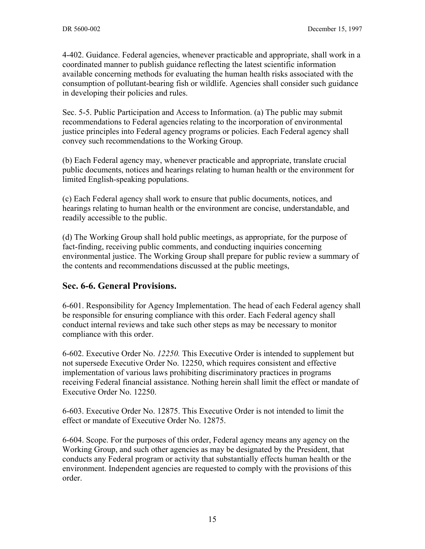4-402. Guidance. Federal agencies, whenever practicable and appropriate, shall work in a coordinated manner to publish guidance reflecting the latest scientific information available concerning methods for evaluating the human health risks associated with the consumption of pollutant-bearing fish or wildlife. Agencies shall consider such guidance in developing their policies and rules.

Sec. 5-5. Public Participation and Access to Information. (a) The public may submit recommendations to Federal agencies relating to the incorporation of environmental justice principles into Federal agency programs or policies. Each Federal agency shall convey such recommendations to the Working Group.

(b) Each Federal agency may, whenever practicable and appropriate, translate crucial public documents, notices and hearings relating to human health or the environment for limited English-speaking populations.

(c) Each Federal agency shall work to ensure that public documents, notices, and hearings relating to human health or the environment are concise, understandable, and readily accessible to the public.

(d) The Working Group shall hold public meetings, as appropriate, for the purpose of fact-finding, receiving public comments, and conducting inquiries concerning environmental justice. The Working Group shall prepare for public review a summary of the contents and recommendations discussed at the public meetings,

#### **Sec. 6-6. General Provisions.**

6-601. Responsibility for Agency Implementation. The head of each Federal agency shall be responsible for ensuring compliance with this order. Each Federal agency shall conduct internal reviews and take such other steps as may be necessary to monitor compliance with this order.

6-602. Executive Order No. *12250.* This Executive Order is intended to supplement but not supersede Executive Order No. 12250, which requires consistent and effective implementation of various laws prohibiting discriminatory practices in programs receiving Federal financial assistance. Nothing herein shall limit the effect or mandate of Executive Order No. 12250.

6-603. Executive Order No. 12875. This Executive Order is not intended to limit the effect or mandate of Executive Order No. 12875.

6-604. Scope. For the purposes of this order, Federal agency means any agency on the Working Group, and such other agencies as may be designated by the President, that conducts any Federal program or activity that substantially effects human health or the environment. Independent agencies are requested to comply with the provisions of this order.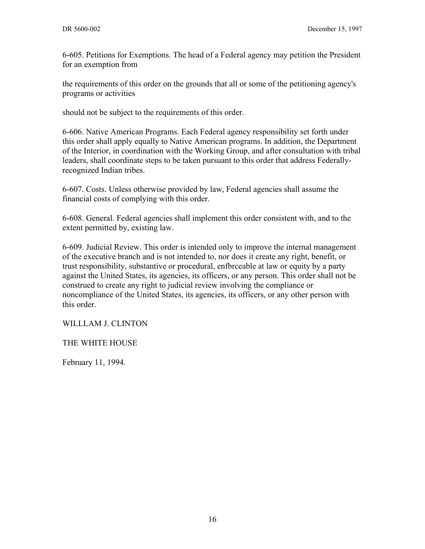6-605. Petitions for Exemptions. The head of a Federal agency may petition the President for an exemption from

the requirements of this order on the grounds that all or some of the petitioning agency's programs or activities

should not be subject to the requirements of this order.

6-606. Native American Programs. Each Federal agency responsibility set forth under this order shall apply equally to Native American programs. In addition, the Department of the Interior, in coordination with the Working Group, and after consultation with tribal leaders, shall coordinate steps to be taken pursuant to this order that address Federallyrecognized Indian tribes.

6-607. Costs. Unless otherwise provided by law, Federal agencies shall assume the financial costs of complying with this order.

6-608. General. Federal agencies shall implement this order consistent with, and to the extent permitted by, existing law.

6-609. Judicial Review. This order is intended only to improve the internal management of the executive branch and is not intended to, nor does it create any right, benefit, or trust responsibility, substantive or procedural, enfbrceable at law or equity by a party against the United States, its agencies, its officers, or any person. This order shall not be construed to create any right to judicial review involving the compliance or noncompliance of the United States, its agencies, its officers, or any other person with this order.

WILLLAM J. CLINTON

THE WHITE HOUSE

February 11, 1994.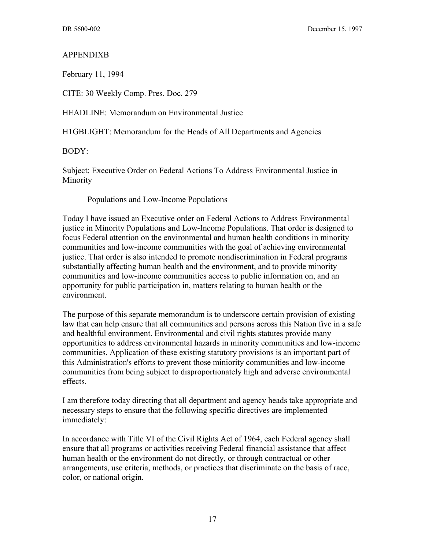#### APPENDIXB

February 11, 1994

CITE: 30 Weekly Comp. Pres. Doc. 279

HEADLINE: Memorandum on Environmental Justice

H1GBLIGHT: Memorandum for the Heads of All Departments and Agencies

BODY:

Subject: Executive Order on Federal Actions To Address Environmental Justice in Minority

Populations and Low-Income Populations

Today I have issued an Executive order on Federal Actions to Address Environmental justice in Minority Populations and Low-Income Populations. That order is designed to focus Federal attention on the environmental and human health conditions in minority communities and low-income communities with the goal of achieving environmental justice. That order is also intended to promote nondiscrimination in Federal programs substantially affecting human health and the environment, and to provide minority communities and low-income communities access to public information on, and an opportunity for public participation in, matters relating to human health or the environment.

The purpose of this separate memorandum is to underscore certain provision of existing law that can help ensure that all communities and persons across this Nation five in a safe and healthful environment. Environmental and civil rights statutes provide many opportunities to address environmental hazards in minority communities and low-income communities. Application of these existing statutory provisions is an important part of this Administration's efforts to prevent those miniority communities and low-income communities from being subject to disproportionately high and adverse environmental effects.

I am therefore today directing that all department and agency heads take appropriate and necessary steps to ensure that the following specific directives are implemented immediately:

In accordance with Title VI of the Civil Rights Act of 1964, each Federal agency shall ensure that all programs or activities receiving Federal financial assistance that affect human health or the environment do not directly, or through contractual or other arrangements, use criteria, methods, or practices that discriminate on the basis of race, color, or national origin.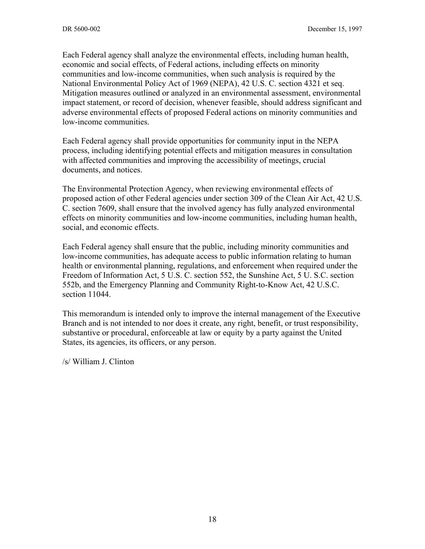Each Federal agency shall analyze the environmental effects, including human health, economic and social effects, of Federal actions, including effects on minority communities and low-income communities, when such analysis is required by the National Environmental Policy Act of 1969 (NEPA), 42 U.S. C. section 4321 et seq. Mitigation measures outlined or analyzed in an environmental assessment, environmental impact statement, or record of decision, whenever feasible, should address significant and adverse environmental effects of proposed Federal actions on minority communities and low-income communities.

Each Federal agency shall provide opportunities for community input in the NEPA process, including identifying potential effects and mitigation measures in consultation with affected communities and improving the accessibility of meetings, crucial documents, and notices.

The Environmental Protection Agency, when reviewing environmental effects of proposed action of other Federal agencies under section 309 of the Clean Air Act, 42 U.S. C. section 7609, shall ensure that the involved agency has fully analyzed environmental effects on minority communities and low-income communities, including human health, social, and economic effects.

Each Federal agency shall ensure that the public, including minority communities and low-income communities, has adequate access to public information relating to human health or environmental planning, regulations, and enforcement when required under the Freedom of Information Act, 5 U.S. C. section 552, the Sunshine Act, 5 U. S.C. section 552b, and the Emergency Planning and Community Right-to-Know Act, 42 U.S.C. section 11044.

This memorandum is intended only to improve the internal management of the Executive Branch and is not intended to nor does it create, any right, benefit, or trust responsibility, substantive or procedural, enforceable at law or equity by a party against the United States, its agencies, its officers, or any person.

/s/ William J. Clinton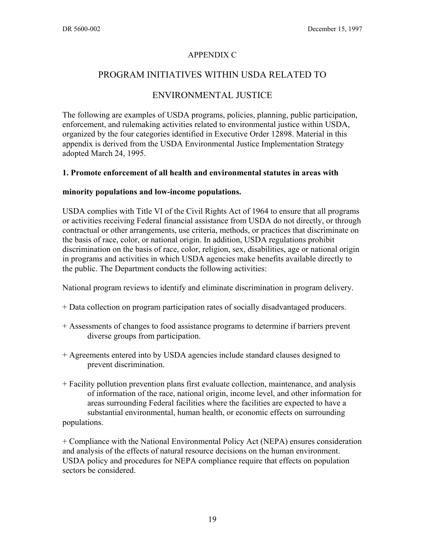#### APPENDIX C

#### PROGRAM INITIATIVES WITHIN USDA RELATED TO

#### ENVIRONMENTAL JUSTICE

The following are examples of USDA programs, policies, planning, public participation, enforcement, and rulemaking activities related to environmental justice within USDA, organized by the four categories identified in Executive Order 12898. Material in this appendix is derived from the USDA Environmental Justice Implementation Strategy adopted March 24, 1995.

#### **1. Promote enforcement of all health and environmental statutes in areas with**

#### **minority populations and low-income populations.**

USDA complies with Title VI of the Civil Rights Act of 1964 to ensure that all programs or activities receiving Federal financial assistance from USDA do not directly, or through contractual or other arrangements, use criteria, methods, or practices that discriminate on the basis of race, color, or national origin. In addition, USDA regulations prohibit discrimination on the basis of race, color, religion, sex, disabilities, age or national origin in programs and activities in which USDA agencies make benefits available directly to the public. The Department conducts the following activities:

National program reviews to identify and eliminate discrimination in program delivery.

- + Data collection on program participation rates of socially disadvantaged producers.
- + Assessments of changes to food assistance programs to determine if barriers prevent diverse groups from participation.
- + Agreements entered into by USDA agencies include standard clauses designed to prevent discrimination.
- + Facility pollution prevention plans first evaluate collection, maintenance, and analysis of information of the race, national origin, income level, and other information for areas surrounding Federal facilities where the facilities are expected to have a substantial environmental, human health, or economic effects on surrounding populations.

+ Compliance with the National Environmental Policy Act (NEPA) ensures consideration and analysis of the effects of natural resource decisions on the human environment. USDA policy and procedures for NEPA compliance require that effects on population sectors be considered.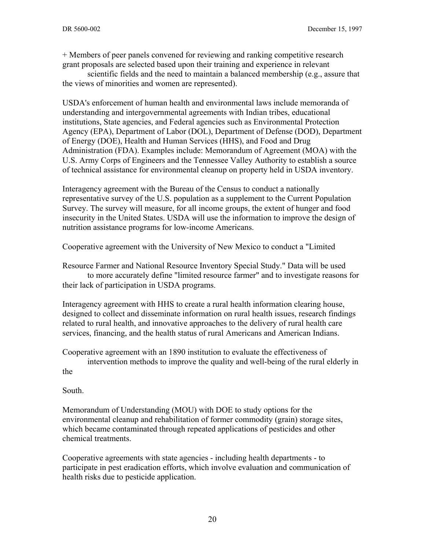+ Members of peer panels convened for reviewing and ranking competitive research grant proposals are selected based upon their training and experience in relevant

scientific fields and the need to maintain a balanced membership (e.g., assure that the views of minorities and women are represented).

USDA's enforcement of human health and environmental laws include memoranda of understanding and intergovernmental agreements with Indian tribes, educational institutions, State agencies, and Federal agencies such as Environmental Protection Agency (EPA), Department of Labor (DOL), Department of Defense (DOD), Department of Energy (DOE), Health and Human Services (HHS), and Food and Drug Administration (FDA). Examples include: Memorandum of Agreement (MOA) with the U.S. Army Corps of Engineers and the Tennessee Valley Authority to establish a source of technical assistance for environmental cleanup on property held in USDA inventory.

Interagency agreement with the Bureau of the Census to conduct a nationally representative survey of the U.S. population as a supplement to the Current Population Survey. The survey will measure, for all income groups, the extent of hunger and food insecurity in the United States. USDA will use the information to improve the design of nutrition assistance programs for low-income Americans.

Cooperative agreement with the University of New Mexico to conduct a "Limited

Resource Farmer and National Resource Inventory Special Study." Data will be used to more accurately define "limited resource farmer" and to investigate reasons for their lack of participation in USDA programs.

Interagency agreement with HHS to create a rural health information clearing house, designed to collect and disseminate information on rural health issues, research findings related to rural health, and innovative approaches to the delivery of rural health care services, financing, and the health status of rural Americans and American Indians.

Cooperative agreement with an 1890 institution to evaluate the effectiveness of intervention methods to improve the quality and well-being of the rural elderly in

the

South.

Memorandum of Understanding (MOU) with DOE to study options for the environmental cleanup and rehabilitation of former commodity (grain) storage sites, which became contaminated through repeated applications of pesticides and other chemical treatments.

Cooperative agreements with state agencies - including health departments - to participate in pest eradication efforts, which involve evaluation and communication of health risks due to pesticide application.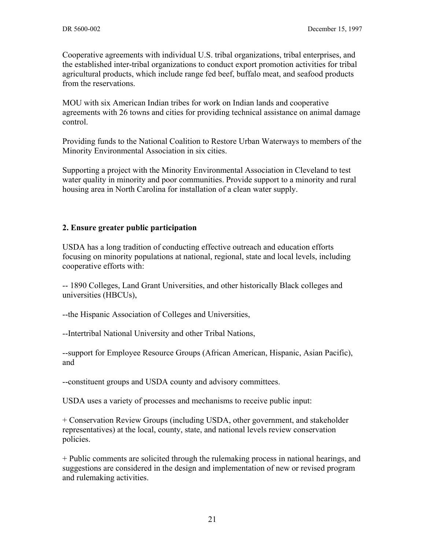Cooperative agreements with individual U.S. tribal organizations, tribal enterprises, and the established inter-tribal organizations to conduct export promotion activities for tribal agricultural products, which include range fed beef, buffalo meat, and seafood products from the reservations.

MOU with six American Indian tribes for work on Indian lands and cooperative agreements with 26 towns and cities for providing technical assistance on animal damage control.

Providing funds to the National Coalition to Restore Urban Waterways to members of the Minority Environmental Association in six cities.

Supporting a project with the Minority Environmental Association in Cleveland to test water quality in minority and poor communities. Provide support to a minority and rural housing area in North Carolina for installation of a clean water supply.

#### **2. Ensure greater public participation**

USDA has a long tradition of conducting effective outreach and education efforts focusing on minority populations at national, regional, state and local levels, including cooperative efforts with:

-- 1890 Colleges, Land Grant Universities, and other historically Black colleges and universities (HBCUs),

--the Hispanic Association of Colleges and Universities,

--Intertribal National University and other Tribal Nations,

--support for Employee Resource Groups (African American, Hispanic, Asian Pacific), and

--constituent groups and USDA county and advisory committees.

USDA uses a variety of processes and mechanisms to receive public input:

+ Conservation Review Groups (including USDA, other government, and stakeholder representatives) at the local, county, state, and national levels review conservation policies.

+ Public comments are solicited through the rulemaking process in national hearings, and suggestions are considered in the design and implementation of new or revised program and rulemaking activities.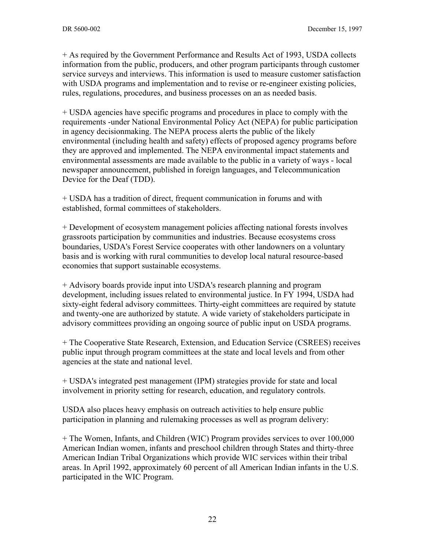+ As required by the Government Performance and Results Act of 1993, USDA collects information from the public, producers, and other program participants through customer service surveys and interviews. This information is used to measure customer satisfaction with USDA programs and implementation and to revise or re-engineer existing policies, rules, regulations, procedures, and business processes on an as needed basis.

+ USDA agencies have specific programs and procedures in place to comply with the requirements -under National Environmental Policy Act (NEPA) for public participation in agency decisionmaking. The NEPA process alerts the public of the likely environmental (including health and safety) effects of proposed agency programs before they are approved and implemented. The NEPA environmental impact statements and environmental assessments are made available to the public in a variety of ways - local newspaper announcement, published in foreign languages, and Telecommunication Device for the Deaf (TDD).

+ USDA has a tradition of direct, frequent communication in forums and with established, formal committees of stakeholders.

+ Development of ecosystem management policies affecting national forests involves grassroots participation by communities and industries. Because ecosystems cross boundaries, USDA's Forest Service cooperates with other landowners on a voluntary basis and is working with rural communities to develop local natural resource-based economies that support sustainable ecosystems.

+ Advisory boards provide input into USDA's research planning and program development, including issues related to environmental justice. In FY 1994, USDA had sixty-eight federal advisory committees. Thirty-eight committees are required by statute and twenty-one are authorized by statute. A wide variety of stakeholders participate in advisory committees providing an ongoing source of public input on USDA programs.

+ The Cooperative State Research, Extension, and Education Service (CSREES) receives public input through program committees at the state and local levels and from other agencies at the state and national level.

+ USDA's integrated pest management (IPM) strategies provide for state and local involvement in priority setting for research, education, and regulatory controls.

USDA also places heavy emphasis on outreach activities to help ensure public participation in planning and rulemaking processes as well as program delivery:

+ The Women, Infants, and Children (WIC) Program provides services to over 100,000 American Indian women, infants and preschool children through States and thirty-three American Indian Tribal Organizations which provide WIC services within their tribal areas. In April 1992, approximately 60 percent of all American Indian infants in the U.S. participated in the WIC Program.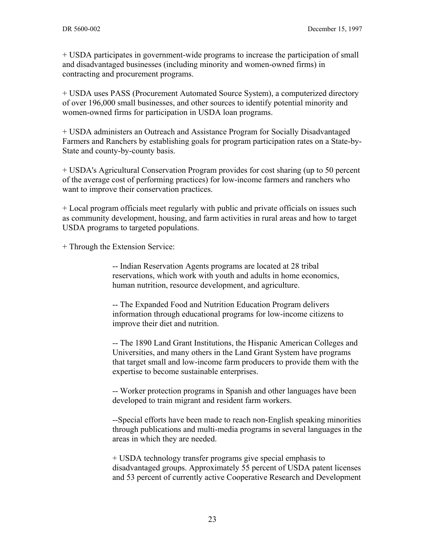+ USDA participates in government-wide programs to increase the participation of small and disadvantaged businesses (including minority and women-owned firms) in contracting and procurement programs.

+ USDA uses PASS (Procurement Automated Source System), a computerized directory of over 196,000 small businesses, and other sources to identify potential minority and women-owned firms for participation in USDA loan programs.

+ USDA administers an Outreach and Assistance Program for Socially Disadvantaged Farmers and Ranchers by establishing goals for program participation rates on a State-by-State and county-by-county basis.

+ USDA's Agricultural Conservation Program provides for cost sharing (up to 50 percent of the average cost of performing practices) for low-income farmers and ranchers who want to improve their conservation practices.

+ Local program officials meet regularly with public and private officials on issues such as community development, housing, and farm activities in rural areas and how to target USDA programs to targeted populations.

+ Through the Extension Service:

-- Indian Reservation Agents programs are located at 28 tribal reservations, which work with youth and adults in home economics, human nutrition, resource development, and agriculture.

-- The Expanded Food and Nutrition Education Program delivers information through educational programs for low-income citizens to improve their diet and nutrition.

-- The 1890 Land Grant Institutions, the Hispanic American Colleges and Universities, and many others in the Land Grant System have programs that target small and low-income farm producers to provide them with the expertise to become sustainable enterprises.

-- Worker protection programs in Spanish and other languages have been developed to train migrant and resident farm workers.

--Special efforts have been made to reach non-English speaking minorities through publications and multi-media programs in several languages in the areas in which they are needed.

+ USDA technology transfer programs give special emphasis to disadvantaged groups. Approximately 55 percent of USDA patent licenses and 53 percent of currently active Cooperative Research and Development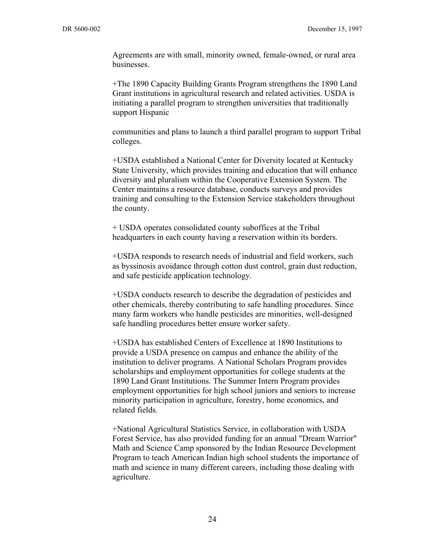Agreements are with small, minority owned, female-owned, or rural area businesses.

+The 1890 Capacity Building Grants Program strengthens the 1890 Land Grant institutions in agricultural research and related activities. USDA is initiating a parallel program to strengthen universities that traditionally support Hispanic

communities and plans to launch a third parallel program to support Tribal colleges.

+USDA established a National Center for Diversity located at Kentucky State University, which provides training and education that will enhance diversity and pluralism within the Cooperative Extension System. The Center maintains a resource database, conducts surveys and provides training and consulting to the Extension Service stakeholders throughout the county.

+ USDA operates consolidated county suboffices at the Tribal headquarters in each county having a reservation within its borders.

+USDA responds to research needs of industrial and field workers, such as byssinosis avoidance through cotton dust control, grain dust reduction, and safe pesticide application technology.

+USDA conducts research to describe the degradation of pesticides and other chemicals, thereby contributing to safe handling procedures. Since many farm workers who handle pesticides are minorities, well-designed safe handling procedures better ensure worker safety.

+USDA has established Centers of Excellence at 1890 Institutions to provide a USDA presence on campus and enhance the ability of the institution to deliver programs. A National Scholars Program provides scholarships and employment opportunities for college students at the 1890 Land Grant Institutions. The Summer Intern Program provides employment opportunities for high school juniors and seniors to increase minority participation in agriculture, forestry, home economics, and related fields.

+National Agricultural Statistics Service, in collaboration with USDA Forest Service, has also provided funding for an annual "Dream Warrior" Math and Science Camp sponsored by the Indian Resource Development Program to teach American Indian high school students the importance of math and science in many different careers, including those dealing with agriculture.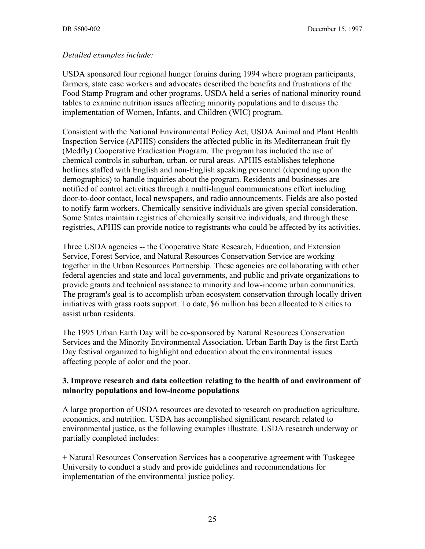#### *Detailed examples include:*

USDA sponsored four regional hunger foruins during 1994 where program participants, farmers, state case workers and advocates described the benefits and frustrations of the Food Stamp Program and other programs. USDA held a series of national minority round tables to examine nutrition issues affecting minority populations and to discuss the implementation of Women, Infants, and Children (WIC) program.

Consistent with the National Environmental Policy Act, USDA Animal and Plant Health Inspection Service (APHIS) considers the affected public in its Mediterranean fruit fly (Medfly) Cooperative Eradication Program. The program has included the use of chemical controls in suburban, urban, or rural areas. APHIS establishes telephone hotlines staffed with English and non-English speaking personnel (depending upon the demographics) to handle inquiries about the program. Residents and businesses are notified of control activities through a multi-lingual communications effort including door-to-door contact, local newspapers, and radio announcements. Fields are also posted to notify farm workers. Chemically sensitive individuals are given special consideration. Some States maintain registries of chemically sensitive individuals, and through these registries, APHIS can provide notice to registrants who could be affected by its activities.

Three USDA agencies -- the Cooperative State Research, Education, and Extension Service, Forest Service, and Natural Resources Conservation Service are working together in the Urban Resources Partnership. These agencies are collaborating with other federal agencies and state and local governments, and public and private organizations to provide grants and technical assistance to minority and low-income urban communities. The program's goal is to accomplish urban ecosystem conservation through locally driven initiatives with grass roots support. To date, \$6 million has been allocated to 8 cities to assist urban residents.

The 1995 Urban Earth Day will be co-sponsored by Natural Resources Conservation Services and the Minority Environmental Association. Urban Earth Day is the first Earth Day festival organized to highlight and education about the environmental issues affecting people of color and the poor.

#### **3. Improve research and data collection relating to the health of and environment of minority populations and low-income populations**

A large proportion of USDA resources are devoted to research on production agriculture, economics, and nutrition. USDA has accomplished significant research related to environmental justice, as the following examples illustrate. USDA research underway or partially completed includes:

+ Natural Resources Conservation Services has a cooperative agreement with Tuskegee University to conduct a study and provide guidelines and recommendations for implementation of the environmental justice policy.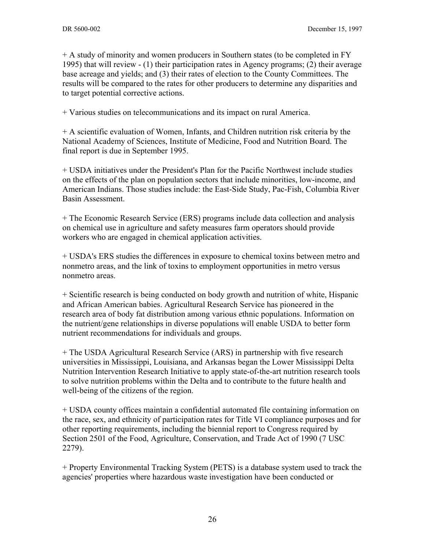+ A study of minority and women producers in Southern states (to be completed in FY 1995) that will review - (1) their participation rates in Agency programs; (2) their average base acreage and yields; and (3) their rates of election to the County Committees. The results will be compared to the rates for other producers to determine any disparities and to target potential corrective actions.

+ Various studies on telecommunications and its impact on rural America.

+ A scientific evaluation of Women, Infants, and Children nutrition risk criteria by the National Academy of Sciences, Institute of Medicine, Food and Nutrition Board. The final report is due in September 1995.

+ USDA initiatives under the President's Plan for the Pacific Northwest include studies on the effects of the plan on population sectors that include minorities, low-income, and American Indians. Those studies include: the East-Side Study, Pac-Fish, Columbia River Basin Assessment.

+ The Economic Research Service (ERS) programs include data collection and analysis on chemical use in agriculture and safety measures farm operators should provide workers who are engaged in chemical application activities.

+ USDA's ERS studies the differences in exposure to chemical toxins between metro and nonmetro areas, and the link of toxins to employment opportunities in metro versus nonmetro areas.

+ Scientific research is being conducted on body growth and nutrition of white, Hispanic and African American babies. Agricultural Research Service has pioneered in the research area of body fat distribution among various ethnic populations. Information on the nutrient/gene relationships in diverse populations will enable USDA to better form nutrient recommendations for individuals and groups.

+ The USDA Agricultural Research Service (ARS) in partnership with five research universities in Mississippi, Louisiana, and Arkansas began the Lower Mississippi Delta Nutrition Intervention Research Initiative to apply state-of-the-art nutrition research tools to solve nutrition problems within the Delta and to contribute to the future health and well-being of the citizens of the region.

+ USDA county offices maintain a confidential automated file containing information on the race, sex, and ethnicity of participation rates for Title VI compliance purposes and for other reporting requirements, including the biennial report to Congress required by Section 2501 of the Food, Agriculture, Conservation, and Trade Act of 1990 (7 USC 2279).

+ Property Environmental Tracking System (PETS) is a database system used to track the agencies' properties where hazardous waste investigation have been conducted or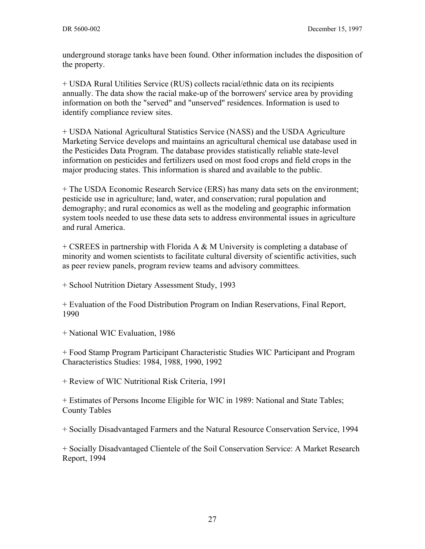underground storage tanks have been found. Other information includes the disposition of the property.

+ USDA Rural Utilities Service (RUS) collects racial/ethnic data on its recipients annually. The data show the racial make-up of the borrowers' service area by providing information on both the "served" and "unserved" residences. Information is used to identify compliance review sites.

+ USDA National Agricultural Statistics Service (NASS) and the USDA Agriculture Marketing Service develops and maintains an agricultural chemical use database used in the Pesticides Data Program. The database provides statistically reliable state-level information on pesticides and fertilizers used on most food crops and field crops in the major producing states. This information is shared and available to the public.

+ The USDA Economic Research Service (ERS) has many data sets on the environment; pesticide use in agriculture; land, water, and conservation; rural population and demography; and rural economics as well as the modeling and geographic information system tools needed to use these data sets to address environmental issues in agriculture and rural America.

+ CSREES in partnership with Florida A  $\&$  M University is completing a database of minority and women scientists to facilitate cultural diversity of scientific activities, such as peer review panels, program review teams and advisory committees.

+ School Nutrition Dietary Assessment Study, 1993

+ Evaluation of the Food Distribution Program on Indian Reservations, Final Report, 1990

+ National WIC Evaluation, 1986

+ Food Stamp Program Participant Characteristic Studies WIC Participant and Program Characteristics Studies: 1984, 1988, 1990, 1992

+ Review of WIC Nutritional Risk Criteria, 1991

+ Estimates of Persons Income Eligible for WIC in 1989: National and State Tables; County Tables

+ Socially Disadvantaged Farmers and the Natural Resource Conservation Service, 1994

+ Socially Disadvantaged Clientele of the Soil Conservation Service: A Market Research Report, 1994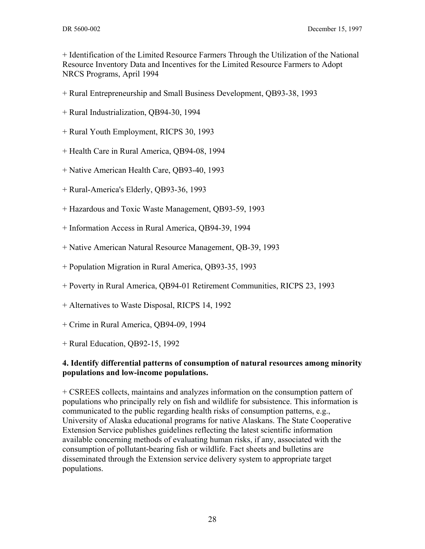+ Identification of the Limited Resource Farmers Through the Utilization of the National Resource Inventory Data and Incentives for the Limited Resource Farmers to Adopt NRCS Programs, April 1994

- + Rural Entrepreneurship and Small Business Development, QB93-38, 1993
- + Rural Industrialization, QB94-30, 1994
- + Rural Youth Employment, RICPS 30, 1993
- + Health Care in Rural America, QB94-08, 1994
- + Native American Health Care, QB93-40, 1993
- + Rural-America's Elderly, QB93-36, 1993
- + Hazardous and Toxic Waste Management, QB93-59, 1993
- + Information Access in Rural America, QB94-39, 1994
- + Native American Natural Resource Management, QB-39, 1993
- + Population Migration in Rural America, QB93-35, 1993
- + Poverty in Rural America, QB94-01 Retirement Communities, RICPS 23, 1993
- + Alternatives to Waste Disposal, RICPS 14, 1992
- + Crime in Rural America, QB94-09, 1994
- + Rural Education, QB92-15, 1992

#### **4. Identify differential patterns of consumption of natural resources among minority populations and low-income populations.**

+ CSREES collects, maintains and analyzes information on the consumption pattern of populations who principally rely on fish and wildlife for subsistence. This information is communicated to the public regarding health risks of consumption patterns, e.g., University of Alaska educational programs for native Alaskans. The State Cooperative Extension Service publishes guidelines reflecting the latest scientific information available concerning methods of evaluating human risks, if any, associated with the consumption of pollutant-bearing fish or wildlife. Fact sheets and bulletins are disseminated through the Extension service delivery system to appropriate target populations.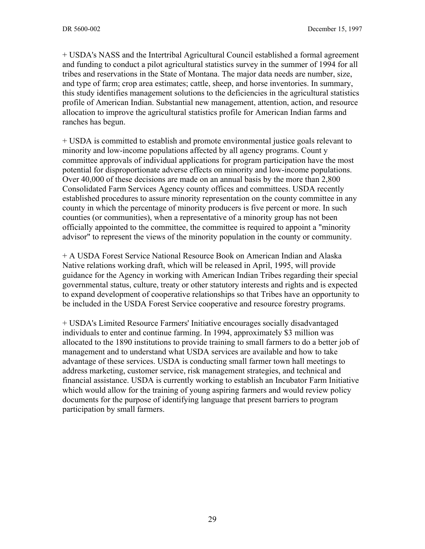+ USDA's NASS and the Intertribal Agricultural Council established a formal agreement and funding to conduct a pilot agricultural statistics survey in the summer of 1994 for all tribes and reservations in the State of Montana. The major data needs are number, size, and type of farm; crop area estimates; cattle, sheep, and horse inventories. In summary, this study identifies management solutions to the deficiencies in the agricultural statistics profile of American Indian. Substantial new management, attention, action, and resource allocation to improve the agricultural statistics profile for American Indian farms and ranches has begun.

+ USDA is committed to establish and promote environmental justice goals relevant to minority and low-income populations affected by all agency programs. Count y committee approvals of individual applications for program participation have the most potential for disproportionate adverse effects on minority and low-income populations. Over 40,000 of these decisions are made on an annual basis by the more than 2,800 Consolidated Farm Services Agency county offices and committees. USDA recently established procedures to assure minority representation on the county committee in any county in which the percentage of minority producers is five percent or more. In such counties (or communities), when a representative of a minority group has not been officially appointed to the committee, the committee is required to appoint a "minority advisor" to represent the views of the minority population in the county or community.

+ A USDA Forest Service National Resource Book on American Indian and Alaska Native relations working draft, which will be released in April, 1995, will provide guidance for the Agency in working with American Indian Tribes regarding their special governmental status, culture, treaty or other statutory interests and rights and is expected to expand development of cooperative relationships so that Tribes have an opportunity to be included in the USDA Forest Service cooperative and resource forestry programs.

+ USDA's Limited Resource Farmers' Initiative encourages socially disadvantaged individuals to enter and continue farming. In 1994, approximately \$3 million was allocated to the 1890 institutions to provide training to small farmers to do a better job of management and to understand what USDA services are available and how to take advantage of these services. USDA is conducting small farmer town hall meetings to address marketing, customer service, risk management strategies, and technical and financial assistance. USDA is currently working to establish an Incubator Farm Initiative which would allow for the training of young aspiring farmers and would review policy documents for the purpose of identifying language that present barriers to program participation by small farmers.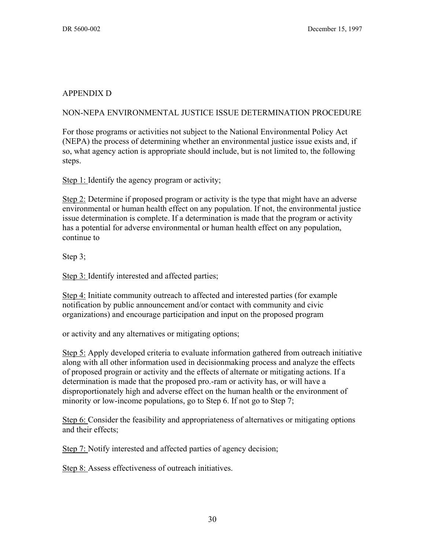#### APPENDIX D

#### NON-NEPA ENVIRONMENTAL JUSTICE ISSUE DETERMINATION PROCEDURE

For those programs or activities not subject to the National Environmental Policy Act (NEPA) the process of determining whether an environmental justice issue exists and, if so, what agency action is appropriate should include, but is not limited to, the following steps.

Step 1: Identify the agency program or activity;

Step 2: Determine if proposed program or activity is the type that might have an adverse environmental or human health effect on any population. If not, the environmental justice issue determination is complete. If a determination is made that the program or activity has a potential for adverse environmental or human health effect on any population, continue to

Step 3;

Step 3: Identify interested and affected parties;

Step 4: Initiate community outreach to affected and interested parties (for example notification by public announcement and/or contact with community and civic organizations) and encourage participation and input on the proposed program

or activity and any alternatives or mitigating options;

Step 5: Apply developed criteria to evaluate information gathered from outreach initiative along with all other information used in decisionmaking process and analyze the effects of proposed prograin or activity and the effects of alternate or mitigating actions. If a determination is made that the proposed pro.-ram or activity has, or will have a disproportionately high and adverse effect on the human health or the environment of minority or low-income populations, go to Step 6. If not go to Step 7;

Step 6: Consider the feasibility and appropriateness of alternatives or mitigating options and their effects;

Step 7: Notify interested and affected parties of agency decision;

Step 8: Assess effectiveness of outreach initiatives.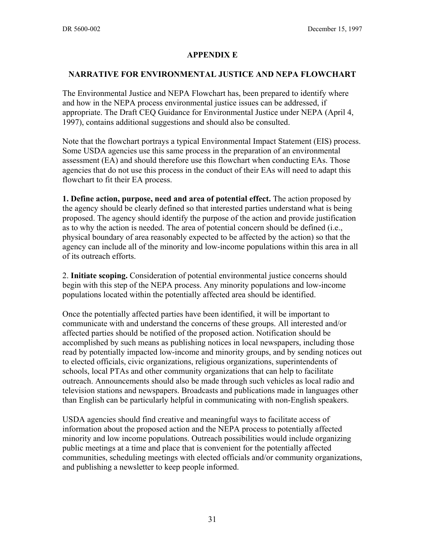#### **APPENDIX E**

#### **NARRATIVE FOR ENVIRONMENTAL JUSTICE AND NEPA FLOWCHART**

The Environmental Justice and NEPA Flowchart has, been prepared to identify where and how in the NEPA process environmental justice issues can be addressed, if appropriate. The Draft CEQ Guidance for Environmental Justice under NEPA (April 4, 1997), contains additional suggestions and should also be consulted.

Note that the flowchart portrays a typical Environmental Impact Statement (EIS) process. Some USDA agencies use this same process in the preparation of an environmental assessment (EA) and should therefore use this flowchart when conducting EAs. Those agencies that do not use this process in the conduct of their EAs will need to adapt this flowchart to fit their EA process.

**1. Define action, purpose, need and area of potential effect.** The action proposed by the agency should be clearly defined so that interested parties understand what is being proposed. The agency should identify the purpose of the action and provide justification as to why the action is needed. The area of potential concern should be defined (i.e., physical boundary of area reasonably expected to be affected by the action) so that the agency can include all of the minority and low-income populations within this area in all of its outreach efforts.

2. **Initiate scoping.** Consideration of potential environmental justice concerns should begin with this step of the NEPA process. Any minority populations and low-income populations located within the potentially affected area should be identified.

Once the potentially affected parties have been identified, it will be important to communicate with and understand the concerns of these groups. All interested and/or affected parties should be notified of the proposed action. Notification should be accomplished by such means as publishing notices in local newspapers, including those read by potentially impacted low-income and minority groups, and by sending notices out to elected officials, civic organizations, religious organizations, superintendents of schools, local PTAs and other community organizations that can help to facilitate outreach. Announcements should also be made through such vehicles as local radio and television stations and newspapers. Broadcasts and publications made in languages other than English can be particularly helpful in communicating with non-English speakers.

USDA agencies should find creative and meaningful ways to facilitate access of information about the proposed action and the NEPA process to potentially affected minority and low income populations. Outreach possibilities would include organizing public meetings at a time and place that is convenient for the potentially affected communities, scheduling meetings with elected officials and/or community organizations, and publishing a newsletter to keep people informed.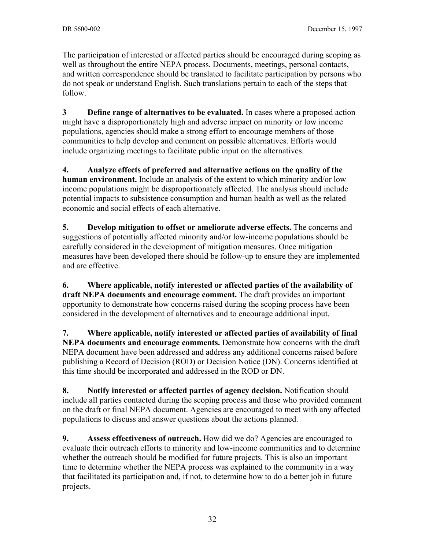The participation of interested or affected parties should be encouraged during scoping as well as throughout the entire NEPA process. Documents, meetings, personal contacts, and written correspondence should be translated to facilitate participation by persons who do not speak or understand English. Such translations pertain to each of the steps that follow.

**3 Define range of alternatives to be evaluated.** In cases where a proposed action might have a disproportionately high and adverse impact on minority or low income populations, agencies should make a strong effort to encourage members of those communities to help develop and comment on possible alternatives. Efforts would include organizing meetings to facilitate public input on the alternatives.

**4. Analyze effects of preferred and alternative actions on the quality of the human environment.** Include an analysis of the extent to which minority and/or low income populations might be disproportionately affected. The analysis should include potential impacts to subsistence consumption and human health as well as the related economic and social effects of each alternative.

**5. Develop mitigation to offset or ameliorate adverse effects.** The concerns and suggestions of potentially affected minority and/or low-income populations should be carefully considered in the development of mitigation measures. Once mitigation measures have been developed there should be follow-up to ensure they are implemented and are effective.

**6. Where applicable, notify interested or affected parties of the availability of draft NEPA documents and encourage comment.** The draft provides an important opportunity to demonstrate how concerns raised during the scoping process have been considered in the development of alternatives and to encourage additional input.

**7. Where applicable, notify interested or affected parties of availability of final NEPA documents and encourage comments.** Demonstrate how concerns with the draft NEPA document have been addressed and address any additional concerns raised before publishing a Record of Decision (ROD) or Decision Notice (DN). Concerns identified at this time should be incorporated and addressed in the ROD or DN.

**8. Notify interested or affected parties of agency decision.** Notification should include all parties contacted during the scoping process and those who provided comment on the draft or final NEPA document. Agencies are encouraged to meet with any affected populations to discuss and answer questions about the actions planned.

**9. Assess effectiveness of outreach.** How did we do? Agencies are encouraged to evaluate their outreach efforts to minority and low-income communities and to determine whether the outreach should be modified for future projects. This is also an important time to determine whether the NEPA process was explained to the community in a way that facilitated its participation and, if not, to determine how to do a better job in future projects.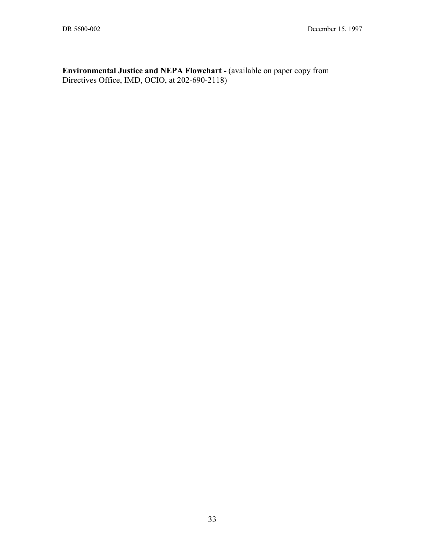**Environmental Justice and NEPA Flowchart -** (available on paper copy from Directives Office, IMD, OCIO, at 202-690-2118)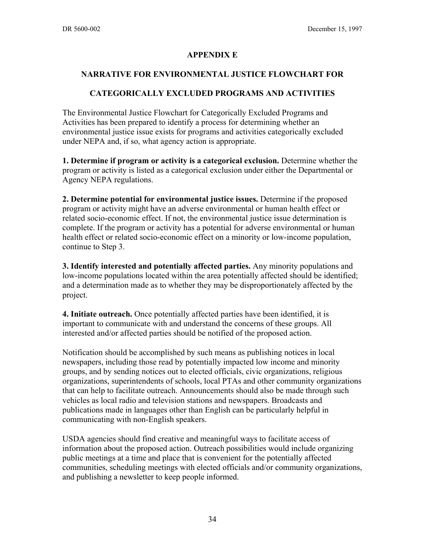#### **APPENDIX E**

#### **NARRATIVE FOR ENVIRONMENTAL JUSTICE FLOWCHART FOR**

#### **CATEGORICALLY EXCLUDED PROGRAMS AND ACTIVITIES**

The Environmental Justice Flowchart for Categorically Excluded Programs and Activities has been prepared to identify a process for determining whether an environmental justice issue exists for programs and activities categorically excluded under NEPA and, if so, what agency action is appropriate.

**1. Determine if program or activity is a categorical exclusion.** Determine whether the program or activity is listed as a categorical exclusion under either the Departmental or Agency NEPA regulations.

**2. Determine potential for environmental justice issues.** Determine if the proposed program or activity might have an adverse environmental or human health effect or related socio-economic effect. If not, the environmental justice issue determination is complete. If the program or activity has a potential for adverse environmental or human health effect or related socio-economic effect on a minority or low-income population, continue to Step 3.

**3. Identify interested and potentially affected parties.** Any minority populations and low-income populations located within the area potentially affected should be identified; and a determination made as to whether they may be disproportionately affected by the project.

**4. Initiate outreach.** Once potentially affected parties have been identified, it is important to communicate with and understand the concerns of these groups. All interested and/or affected parties should be notified of the proposed action.

Notification should be accomplished by such means as publishing notices in local newspapers, including those read by potentially impacted low income and minority groups, and by sending notices out to elected officials, civic organizations, religious organizations, superintendents of schools, local PTAs and other community organizations that can help to facilitate outreach. Announcements should also be made through such vehicles as local radio and television stations and newspapers. Broadcasts and publications made in languages other than English can be particularly helpful in communicating with non-English speakers.

USDA agencies should find creative and meaningful ways to facilitate access of information about the proposed action. Outreach possibilities would include organizing public meetings at a time and place that is convenient for the potentially affected communities, scheduling meetings with elected officials and/or community organizations, and publishing a newsletter to keep people informed.